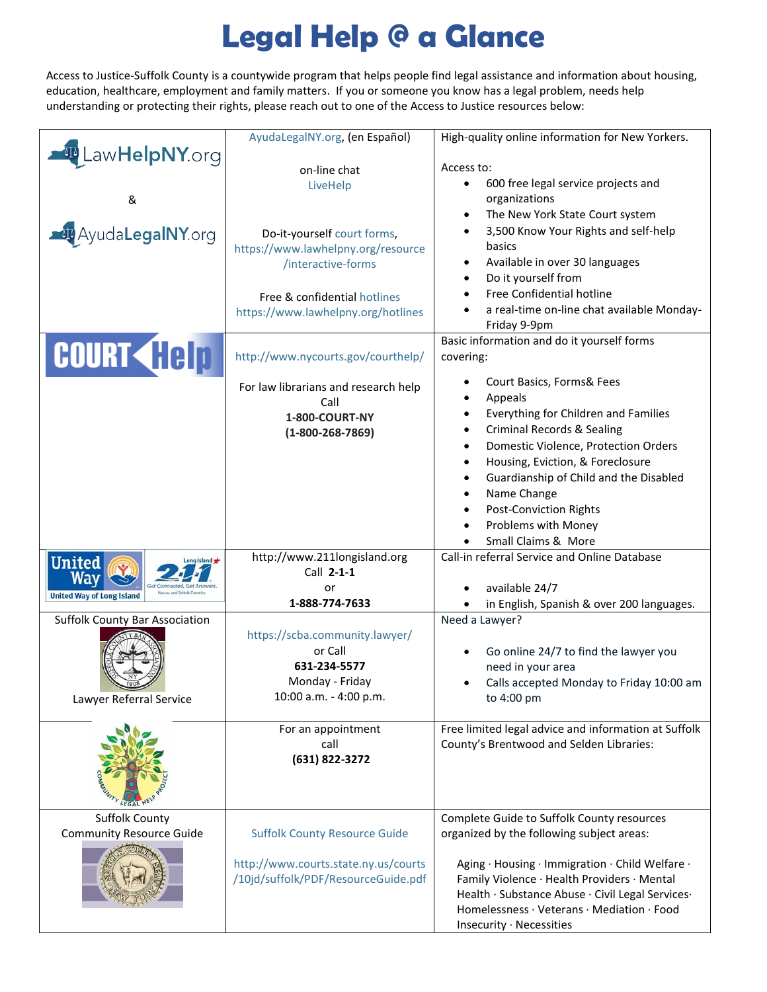## **Legal Help @ a Glance**

Access to Justice-Suffolk County is a countywide program that helps people find legal assistance and information about housing, education, healthcare, employment and family matters. If you or someone you know has a legal problem, needs help understanding or protecting their rights, please reach out to one of the Access to Justice resources below:

|                                       | AyudaLegalNY.org, (en Español)       | High-quality online information for New Yorkers.                                                |  |  |
|---------------------------------------|--------------------------------------|-------------------------------------------------------------------------------------------------|--|--|
| <b>ID</b> LawHelpNY.org               |                                      |                                                                                                 |  |  |
|                                       | on-line chat                         | Access to:                                                                                      |  |  |
|                                       | LiveHelp                             | 600 free legal service projects and<br>$\bullet$                                                |  |  |
| &                                     |                                      | organizations                                                                                   |  |  |
|                                       |                                      | The New York State Court system<br>$\bullet$                                                    |  |  |
| AyudaLegalNY.org                      | Do-it-yourself court forms,          | 3,500 Know Your Rights and self-help<br>$\bullet$                                               |  |  |
|                                       | https://www.lawhelpny.org/resource   | basics                                                                                          |  |  |
|                                       | /interactive-forms                   | Available in over 30 languages<br>$\bullet$                                                     |  |  |
|                                       |                                      | Do it yourself from<br>$\bullet$                                                                |  |  |
|                                       | Free & confidential hotlines         | Free Confidential hotline<br>$\bullet$                                                          |  |  |
|                                       | https://www.lawhelpny.org/hotlines   | a real-time on-line chat available Monday-                                                      |  |  |
|                                       |                                      | Friday 9-9pm                                                                                    |  |  |
|                                       |                                      | Basic information and do it yourself forms                                                      |  |  |
| <b>COURT Help</b>                     | http://www.nycourts.gov/courthelp/   | covering:                                                                                       |  |  |
|                                       |                                      |                                                                                                 |  |  |
|                                       | For law librarians and research help | Court Basics, Forms& Fees                                                                       |  |  |
|                                       | Call                                 | Appeals<br>$\bullet$<br>Everything for Children and Families<br>$\bullet$                       |  |  |
|                                       | 1-800-COURT-NY                       |                                                                                                 |  |  |
|                                       | $(1 - 800 - 268 - 7869)$             | <b>Criminal Records &amp; Sealing</b><br>$\bullet$                                              |  |  |
|                                       |                                      | Domestic Violence, Protection Orders<br>$\bullet$                                               |  |  |
|                                       |                                      | Housing, Eviction, & Foreclosure<br>$\bullet$                                                   |  |  |
|                                       |                                      | Guardianship of Child and the Disabled<br>$\bullet$                                             |  |  |
|                                       |                                      | Name Change<br>$\bullet$                                                                        |  |  |
|                                       |                                      | <b>Post-Conviction Rights</b><br>$\bullet$                                                      |  |  |
|                                       |                                      | Problems with Money<br>$\bullet$                                                                |  |  |
|                                       |                                      | Small Claims & More                                                                             |  |  |
| <b>United</b><br>ong Island           | http://www.211longisland.org         | Call-in referral Service and Online Database                                                    |  |  |
| Way                                   | Call 2-1-1                           |                                                                                                 |  |  |
| <b>United Way of Long Island</b>      | or                                   | available 24/7                                                                                  |  |  |
|                                       | 1-888-774-7633                       | in English, Spanish & over 200 languages.                                                       |  |  |
| <b>Suffolk County Bar Association</b> |                                      | Need a Lawyer?                                                                                  |  |  |
|                                       | https://scba.community.lawyer/       |                                                                                                 |  |  |
|                                       | or Call                              | Go online 24/7 to find the lawyer you<br>$\bullet$                                              |  |  |
|                                       | 631-234-5577                         | need in your area                                                                               |  |  |
|                                       | Monday - Friday                      | Calls accepted Monday to Friday 10:00 am<br>$\bullet$                                           |  |  |
| Lawyer Referral Service               | 10:00 a.m. - 4:00 p.m.               | to 4:00 pm                                                                                      |  |  |
|                                       |                                      |                                                                                                 |  |  |
|                                       | For an appointment                   | Free limited legal advice and information at Suffolk                                            |  |  |
|                                       | call                                 | County's Brentwood and Selden Libraries:                                                        |  |  |
|                                       | (631) 822-3272                       |                                                                                                 |  |  |
|                                       |                                      |                                                                                                 |  |  |
|                                       |                                      |                                                                                                 |  |  |
|                                       |                                      |                                                                                                 |  |  |
| <b>Suffolk County</b>                 |                                      | Complete Guide to Suffolk County resources                                                      |  |  |
| <b>Community Resource Guide</b>       | <b>Suffolk County Resource Guide</b> | organized by the following subject areas:                                                       |  |  |
|                                       | http://www.courts.state.ny.us/courts | Aging · Housing · Immigration · Child Welfare ·                                                 |  |  |
|                                       | /10jd/suffolk/PDF/ResourceGuide.pdf  |                                                                                                 |  |  |
|                                       |                                      | Family Violence · Health Providers · Mental                                                     |  |  |
|                                       |                                      | Health · Substance Abuse · Civil Legal Services ·<br>Homelessness · Veterans · Mediation · Food |  |  |
|                                       |                                      |                                                                                                 |  |  |
|                                       |                                      | Insecurity · Necessities                                                                        |  |  |